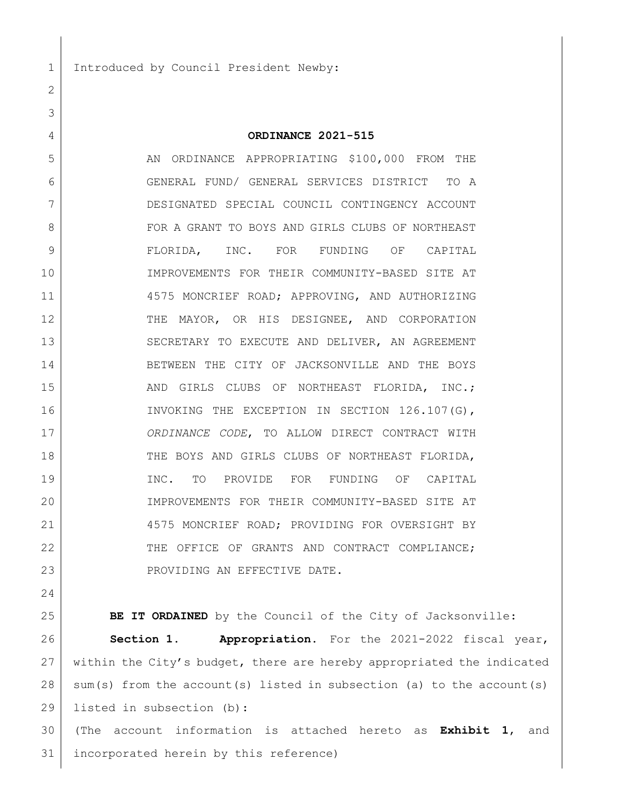1 Introduced by Council President Newby:

## **ORDINANCE 2021-515**

5 AN ORDINANCE APPROPRIATING \$100,000 FROM THE GENERAL FUND/ GENERAL SERVICES DISTRICT TO A DESIGNATED SPECIAL COUNCIL CONTINGENCY ACCOUNT 8 FOR A GRANT TO BOYS AND GIRLS CLUBS OF NORTHEAST FLORIDA, INC. FOR FUNDING OF CAPITAL IMPROVEMENTS FOR THEIR COMMUNITY-BASED SITE AT 4575 MONCRIEF ROAD; APPROVING, AND AUTHORIZING THE MAYOR, OR HIS DESIGNEE, AND CORPORATION 13 SECRETARY TO EXECUTE AND DELIVER, AN AGREEMENT BETWEEN THE CITY OF JACKSONVILLE AND THE BOYS 15 AND GIRLS CLUBS OF NORTHEAST FLORIDA, INC.; 16 INVOKING THE EXCEPTION IN SECTION 126.107(G), *ORDINANCE CODE*, TO ALLOW DIRECT CONTRACT WITH 18 THE BOYS AND GIRLS CLUBS OF NORTHEAST FLORIDA, INC. TO PROVIDE FOR FUNDING OF CAPITAL IMPROVEMENTS FOR THEIR COMMUNITY-BASED SITE AT 21 4575 MONCRIEF ROAD; PROVIDING FOR OVERSIGHT BY 22 THE OFFICE OF GRANTS AND CONTRACT COMPLIANCE; 23 PROVIDING AN EFFECTIVE DATE.

**BE IT ORDAINED** by the Council of the City of Jacksonville:

 **Section 1. Appropriation.** For the 2021-2022 fiscal year, within the City's budget, there are hereby appropriated the indicated sum(s) from the account(s) listed in subsection (a) to the account(s) listed in subsection (b):

 (The account information is attached hereto as **Exhibit 1**, and incorporated herein by this reference)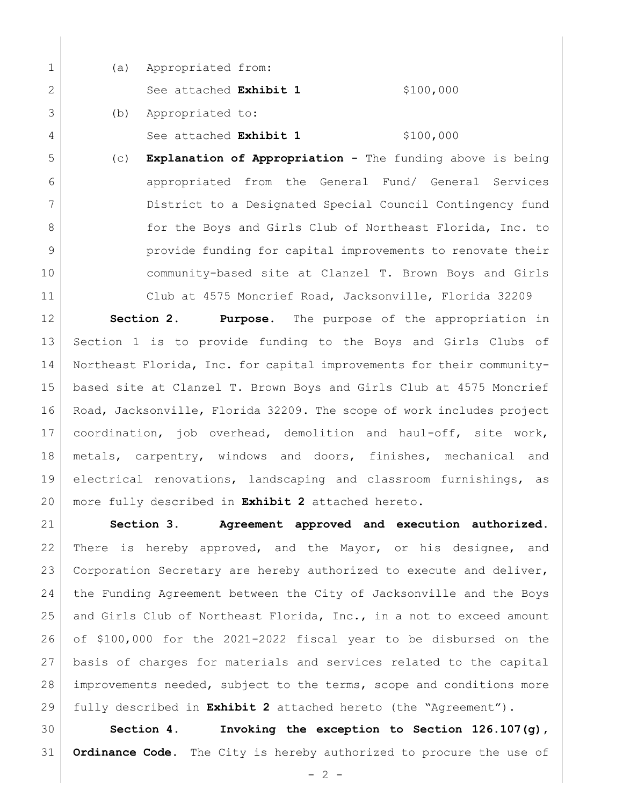|   | (a) | Appropriated from:            |           |
|---|-----|-------------------------------|-----------|
| 2 |     | See attached <b>Exhibit 1</b> | \$100,000 |
| 3 | (b) | Appropriated to:              |           |
| 4 |     | See attached <b>Exhibit 1</b> | \$100,000 |

 (c) **Explanation of Appropriation -** The funding above is being appropriated from the General Fund/ General Services District to a Designated Special Council Contingency fund **for the Boys and Girls Club of Northeast Florida, Inc. to provide funding for capital improvements to renovate their**  community-based site at Clanzel T. Brown Boys and Girls Club at 4575 Moncrief Road, Jacksonville, Florida 32209

 **Section 2. Purpose.** The purpose of the appropriation in Section 1 is to provide funding to the Boys and Girls Clubs of Northeast Florida, Inc. for capital improvements for their community- based site at Clanzel T. Brown Boys and Girls Club at 4575 Moncrief Road, Jacksonville, Florida 32209. The scope of work includes project coordination, job overhead, demolition and haul-off, site work, metals, carpentry, windows and doors, finishes, mechanical and electrical renovations, landscaping and classroom furnishings, as more fully described in **Exhibit 2** attached hereto.

 **Section 3. Agreement approved and execution authorized.** There is hereby approved, and the Mayor, or his designee, and Corporation Secretary are hereby authorized to execute and deliver, the Funding Agreement between the City of Jacksonville and the Boys and Girls Club of Northeast Florida, Inc., in a not to exceed amount of \$100,000 for the 2021-2022 fiscal year to be disbursed on the basis of charges for materials and services related to the capital improvements needed, subject to the terms, scope and conditions more fully described in **Exhibit 2** attached hereto (the "Agreement").

 **Section 4. Invoking the exception to Section 126.107(g), Ordinance Code.** The City is hereby authorized to procure the use of

 $- 2 -$